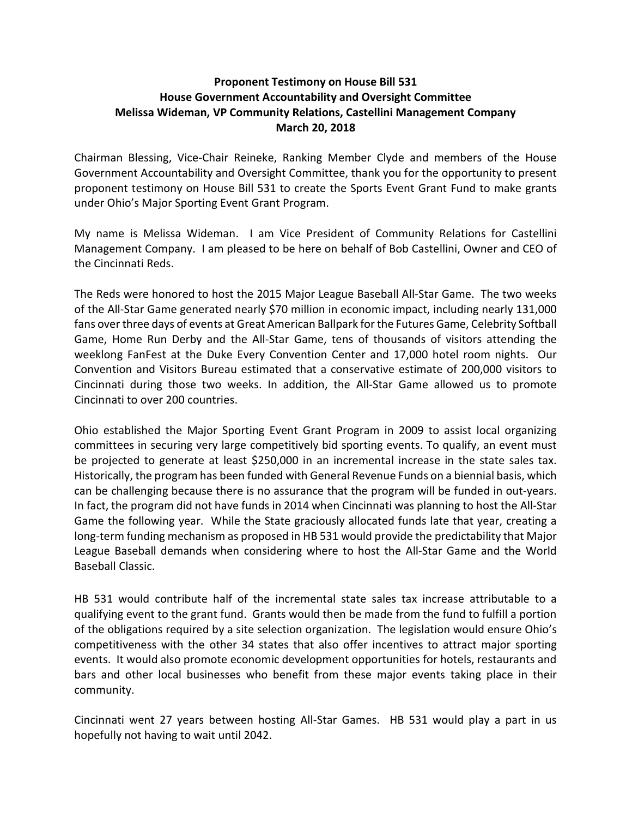## Proponent Testimony on House Bill 531 House Government Accountability and Oversight Committee Melissa Wideman, VP Community Relations, Castellini Management Company March 20, 2018

Chairman Blessing, Vice-Chair Reineke, Ranking Member Clyde and members of the House Government Accountability and Oversight Committee, thank you for the opportunity to present proponent testimony on House Bill 531 to create the Sports Event Grant Fund to make grants under Ohio's Major Sporting Event Grant Program.

My name is Melissa Wideman. I am Vice President of Community Relations for Castellini Management Company. I am pleased to be here on behalf of Bob Castellini, Owner and CEO of the Cincinnati Reds.

The Reds were honored to host the 2015 Major League Baseball All-Star Game. The two weeks of the All-Star Game generated nearly \$70 million in economic impact, including nearly 131,000 fans over three days of events at Great American Ballpark for the Futures Game, Celebrity Softball Game, Home Run Derby and the All-Star Game, tens of thousands of visitors attending the weeklong FanFest at the Duke Every Convention Center and 17,000 hotel room nights. Our Convention and Visitors Bureau estimated that a conservative estimate of 200,000 visitors to Cincinnati during those two weeks. In addition, the All-Star Game allowed us to promote Cincinnati to over 200 countries.

Ohio established the Major Sporting Event Grant Program in 2009 to assist local organizing committees in securing very large competitively bid sporting events. To qualify, an event must be projected to generate at least \$250,000 in an incremental increase in the state sales tax. Historically, the program has been funded with General Revenue Funds on a biennial basis, which can be challenging because there is no assurance that the program will be funded in out-years. In fact, the program did not have funds in 2014 when Cincinnati was planning to host the All-Star Game the following year. While the State graciously allocated funds late that year, creating a long-term funding mechanism as proposed in HB 531 would provide the predictability that Major League Baseball demands when considering where to host the All-Star Game and the World Baseball Classic.

HB 531 would contribute half of the incremental state sales tax increase attributable to a qualifying event to the grant fund. Grants would then be made from the fund to fulfill a portion of the obligations required by a site selection organization. The legislation would ensure Ohio's competitiveness with the other 34 states that also offer incentives to attract major sporting events. It would also promote economic development opportunities for hotels, restaurants and bars and other local businesses who benefit from these major events taking place in their community.

Cincinnati went 27 years between hosting All-Star Games. HB 531 would play a part in us hopefully not having to wait until 2042.